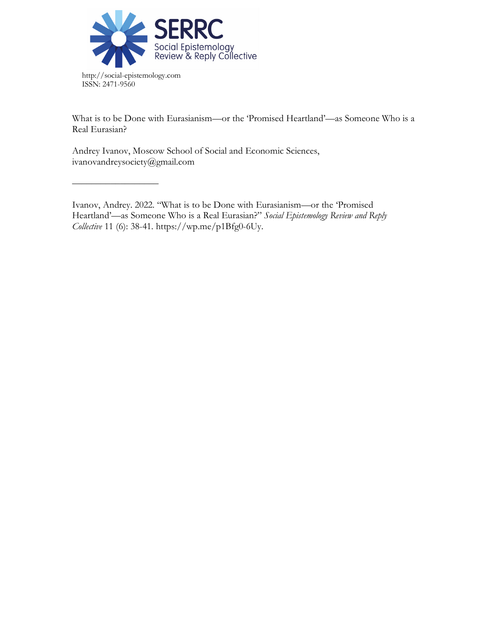

––––––––––––––––––

What is to be Done with Eurasianism—or the 'Promised Heartland'—as Someone Who is a Real Eurasian?

Andrey Ivanov, Moscow School of Social and Economic Sciences, ivanovandreysociety@gmail.com

Ivanov, Andrey. 2022. "What is to be Done with Eurasianism—or the 'Promised Heartland'—as Someone Who is a Real Eurasian?" *Social Epistemology Review and Reply Collective* 11 (6): 38-41. https://wp.me/p1Bfg0-6Uy.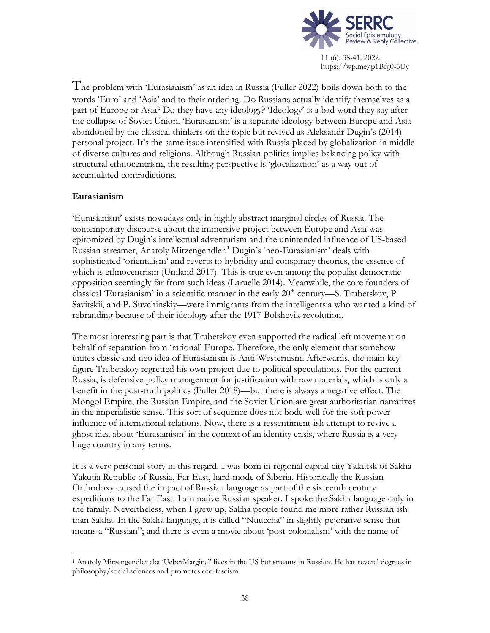

The problem with 'Eurasianism' as an idea in Russia (Fuller 2022) boils down both to the words 'Euro' and 'Asia' and to their ordering. Do Russians actually identify themselves as a part of Europe or Asia? Do they have any ideology? 'Ideology' is a bad word they say after the collapse of Soviet Union. 'Eurasianism' is a separate ideology between Europe and Asia abandoned by the classical thinkers on the topic but revived as Aleksandr Dugin's (2014) personal project. It's the same issue intensified with Russia placed by globalization in middle of diverse cultures and religions. Although Russian politics implies balancing policy with structural ethnocentrism, the resulting perspective is 'glocalization' as a way out of accumulated contradictions.

### **Eurasianism**

'Eurasianism' exists nowadays only in highly abstract marginal circles of Russia. The contemporary discourse about the immersive project between Europe and Asia was epitomized by Dugin's intellectual adventurism and the unintended influence of US-based Russian streamer, Anatoly Mitzengendler.1 Dugin's 'neo-Eurasianism' deals with sophisticated 'orientalism' and reverts to hybridity and conspiracy theories, the essence of which is ethnocentrism (Umland 2017). This is true even among the populist democratic opposition seemingly far from such ideas (Laruelle 2014). Meanwhile, the core founders of classical 'Eurasianism' in a scientific manner in the early  $20<sup>th</sup>$  century—S. Trubetskoy, P. Savitskii, and P. Suvchinskiy—were immigrants from the intelligentsia who wanted a kind of rebranding because of their ideology after the 1917 Bolshevik revolution.

The most interesting part is that Trubetskoy even supported the radical left movement on behalf of separation from 'rational' Europe. Therefore, the only element that somehow unites classic and neo idea of Eurasianism is Anti-Westernism. Afterwards, the main key figure Trubetskoy regretted his own project due to political speculations. For the current Russia, is defensive policy management for justification with raw materials, which is only a benefit in the post-truth politics (Fuller 2018)—but there is always a negative effect. The Mongol Empire, the Russian Empire, and the Soviet Union are great authoritarian narratives in the imperialistic sense. This sort of sequence does not bode well for the soft power influence of international relations. Now, there is a ressentiment-ish attempt to revive a ghost idea about 'Eurasianism' in the context of an identity crisis, where Russia is a very huge country in any terms.

It is a very personal story in this regard. I was born in regional capital city Yakutsk of Sakha Yakutia Republic of Russia, Far East, hard-mode of Siberia. Historically the Russian Orthodoxy caused the impact of Russian language as part of the sixteenth century expeditions to the Far East. I am native Russian speaker. I spoke the Sakha language only in the family. Nevertheless, when I grew up, Sakha people found me more rather Russian-ish than Sakha. In the Sakha language, it is called "Nuuccha" in slightly pejorative sense that means a "Russian"; and there is even a movie about 'post-colonialism' with the name of

 <sup>1</sup> Anatoly Mitzengendler aka 'UeberMarginal' lives in the US but streams in Russian. He has several degrees in philosophy/social sciences and promotes eco-fascism.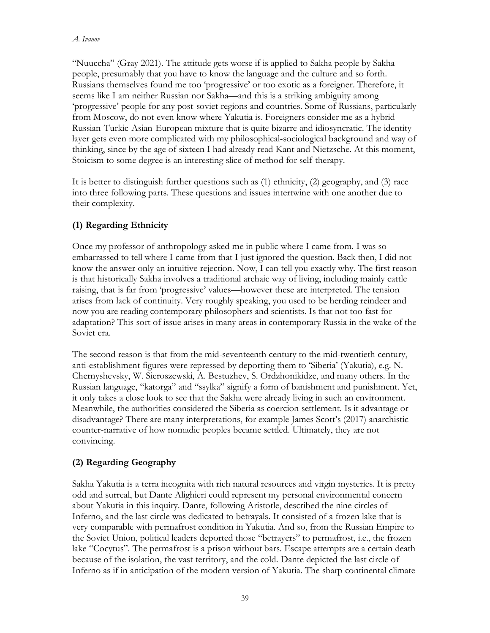"Nuuccha" (Gray 2021). The attitude gets worse if is applied to Sakha people by Sakha people, presumably that you have to know the language and the culture and so forth. Russians themselves found me too 'progressive' or too exotic as a foreigner. Therefore, it seems like I am neither Russian nor Sakha—and this is a striking ambiguity among 'progressive' people for any post-soviet regions and countries. Some of Russians, particularly from Moscow, do not even know where Yakutia is. Foreigners consider me as a hybrid Russian-Turkic-Asian-European mixture that is quite bizarre and idiosyncratic. The identity layer gets even more complicated with my philosophical-sociological background and way of thinking, since by the age of sixteen I had already read Kant and Nietzsche. At this moment, Stoicism to some degree is an interesting slice of method for self-therapy.

It is better to distinguish further questions such as (1) ethnicity, (2) geography, and (3) race into three following parts. These questions and issues intertwine with one another due to their complexity.

# **(1) Regarding Ethnicity**

Once my professor of anthropology asked me in public where I came from. I was so embarrassed to tell where I came from that I just ignored the question. Back then, I did not know the answer only an intuitive rejection. Now, I can tell you exactly why. The first reason is that historically Sakha involves a traditional archaic way of living, including mainly cattle raising, that is far from 'progressive' values—however these are interpreted. The tension arises from lack of continuity. Very roughly speaking, you used to be herding reindeer and now you are reading contemporary philosophers and scientists. Is that not too fast for adaptation? This sort of issue arises in many areas in contemporary Russia in the wake of the Soviet era.

The second reason is that from the mid-seventeenth century to the mid-twentieth century, anti-establishment figures were repressed by deporting them to 'Siberia' (Yakutia), e.g. N. Chernyshevsky, W. Sieroszewski, A. Bestuzhev, S. Ordzhonikidze, and many others. In the Russian language, "katorga" and "ssylka" signify a form of banishment and punishment. Yet, it only takes a close look to see that the Sakha were already living in such an environment. Meanwhile, the authorities considered the Siberia as coercion settlement. Is it advantage or disadvantage? There are many interpretations, for example James Scott's (2017) anarchistic counter-narrative of how nomadic peoples became settled. Ultimately, they are not convincing.

## **(2) Regarding Geography**

Sakha Yakutia is a terra incognita with rich natural resources and virgin mysteries. It is pretty odd and surreal, but Dante Alighieri could represent my personal environmental concern about Yakutia in this inquiry. Dante, following Aristotle, described the nine circles of Inferno, and the last circle was dedicated to betrayals. It consisted of a frozen lake that is very comparable with permafrost condition in Yakutia. And so, from the Russian Empire to the Soviet Union, political leaders deported those "betrayers" to permafrost, i.e., the frozen lake "Cocytus". The permafrost is a prison without bars. Escape attempts are a certain death because of the isolation, the vast territory, and the cold. Dante depicted the last circle of Inferno as if in anticipation of the modern version of Yakutia. The sharp continental climate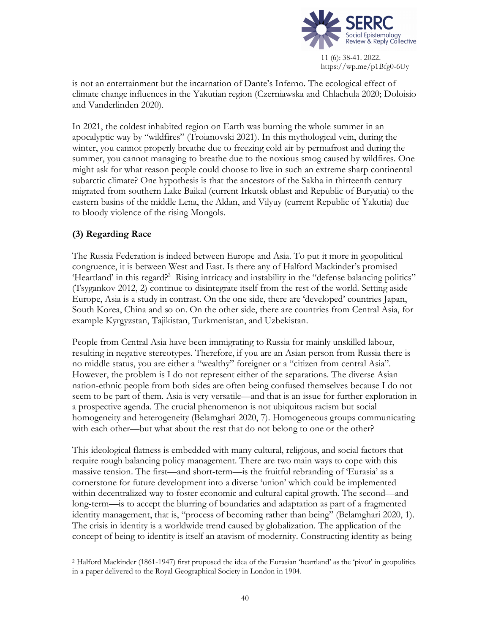

is not an entertainment but the incarnation of Dante's Inferno. The ecological effect of climate change influences in the Yakutian region (Czerniawska and Chlachula 2020; Doloisio and Vanderlinden 2020).

In 2021, the coldest inhabited region on Earth was burning the whole summer in an apocalyptic way by "wildfires" (Troianovski 2021). In this mythological vein, during the winter, you cannot properly breathe due to freezing cold air by permafrost and during the summer, you cannot managing to breathe due to the noxious smog caused by wildfires. One might ask for what reason people could choose to live in such an extreme sharp continental subarctic climate? One hypothesis is that the ancestors of the Sakha in thirteenth century migrated from southern Lake Baikal (current Irkutsk oblast and Republic of Buryatia) to the eastern basins of the middle Lena, the Aldan, and Vilyuy (current Republic of Yakutia) due to bloody violence of the rising Mongols.

## **(3) Regarding Race**

The Russia Federation is indeed between Europe and Asia. To put it more in geopolitical congruence, it is between West and East. Is there any of Halford Mackinder's promised 'Heartland' in this regard?<sup>2</sup> Rising intricacy and instability in the "defense balancing politics" (Tsygankov 2012, 2) continue to disintegrate itself from the rest of the world. Setting aside Europe, Asia is a study in contrast. On the one side, there are 'developed' countries Japan, South Korea, China and so on. On the other side, there are countries from Central Asia, for example Kyrgyzstan, Tajikistan, Turkmenistan, and Uzbekistan.

People from Central Asia have been immigrating to Russia for mainly unskilled labour, resulting in negative stereotypes. Therefore, if you are an Asian person from Russia there is no middle status, you are either a "wealthy" foreigner or a "citizen from central Asia". However, the problem is I do not represent either of the separations. The diverse Asian nation-ethnic people from both sides are often being confused themselves because I do not seem to be part of them. Asia is very versatile—and that is an issue for further exploration in a prospective agenda. The crucial phenomenon is not ubiquitous racism but social homogeneity and heterogeneity (Belamghari 2020, 7). Homogeneous groups communicating with each other—but what about the rest that do not belong to one or the other?

This ideological flatness is embedded with many cultural, religious, and social factors that require rough balancing policy management. There are two main ways to cope with this massive tension. The first—and short-term—is the fruitful rebranding of 'Eurasia' as a cornerstone for future development into a diverse 'union' which could be implemented within decentralized way to foster economic and cultural capital growth. The second—and long-term—is to accept the blurring of boundaries and adaptation as part of a fragmented identity management, that is, "process of becoming rather than being" (Belamghari 2020, 1). The crisis in identity is a worldwide trend caused by globalization. The application of the concept of being to identity is itself an atavism of modernity. Constructing identity as being

 <sup>2</sup> Halford Mackinder (1861-1947) first proposed the idea of the Eurasian 'heartland' as the 'pivot' in geopolitics in a paper delivered to the Royal Geographical Society in London in 1904.